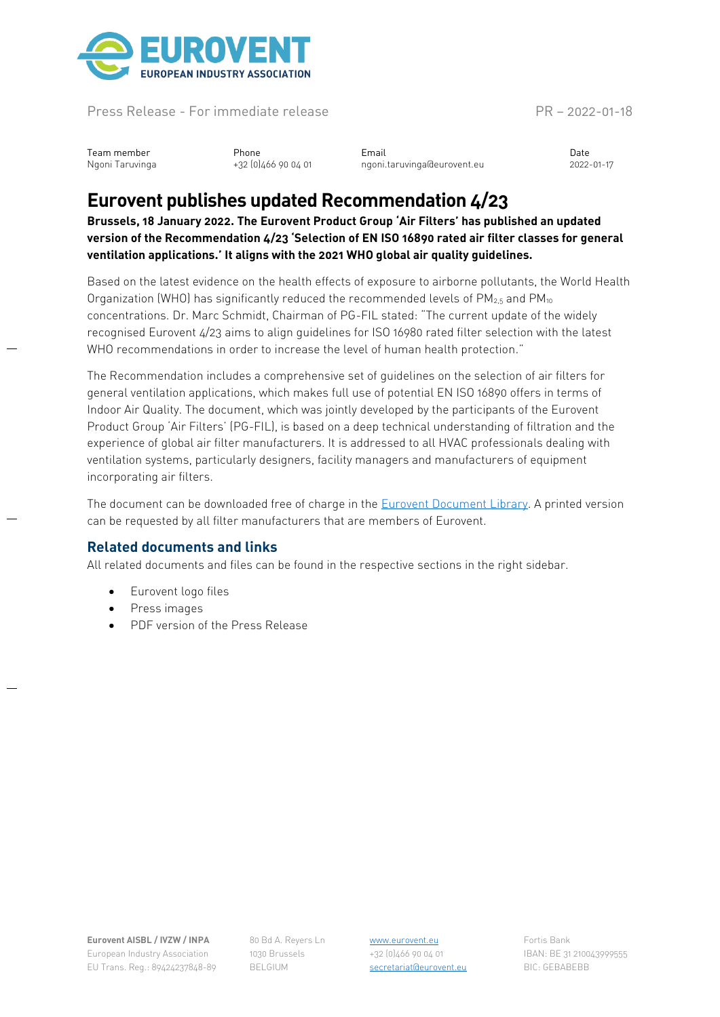

Press Release - For immediate release PR – 2022-01-18

Team member Phone Email Date Ngoni Taruvinga +32 (0)466 90 04 01 ngoni.taruvinga@eurovent.eu 2022-01-17

## **Eurovent publishes updated Recommendation 4/23**

**Brussels, 18 January 2022. The Eurovent Product Group 'Air Filters' has published an updated version of the Recommendation 4/23 'Selection of EN ISO 16890 rated air filter classes for general ventilation applications.' It aligns with the 2021 WHO global air quality guidelines.**

Based on the latest evidence on the health effects of exposure to airborne pollutants, the World Health Organization (WHO) has significantly reduced the recommended levels of  $PM_{2.5}$  and  $PM_{10}$ concentrations. Dr. Marc Schmidt, Chairman of PG-FIL stated: "The current update of the widely recognised Eurovent 4/23 aims to align guidelines for ISO 16980 rated filter selection with the latest WHO recommendations in order to increase the level of human health protection."

The Recommendation includes a comprehensive set of guidelines on the selection of air filters for general ventilation applications, which makes full use of potential EN ISO 16890 offers in terms of Indoor Air Quality. The document, which was jointly developed by the participants of the Eurovent Product Group 'Air Filters' (PG-FIL), is based on a deep technical understanding of filtration and the experience of global air filter manufacturers. It is addressed to all HVAC professionals dealing with ventilation systems, particularly designers, facility managers and manufacturers of equipment incorporating air filters.

The document can be downloaded free of charge in the [Eurovent Document Library.](https://eurovent.eu/?q=content/eurovent-423-2022-selection-en-iso-16890-rated-air-filter-classes-fourth-edition-english) A printed version can be requested by all filter manufacturers that are members of Eurovent.

## **Related documents and links**

All related documents and files can be found in the respective sections in the right sidebar.

- Eurovent logo files
- Press images
- PDF version of the Press Release

**Eurovent AISBL / IVZW / INPA** European Industry Association EU Trans. Reg.: 89424237848-89 80 Bd A. Reyers Ln 1030 Brussels BELGIUM

[www.eurovent.eu](http://www.eurovent.eu/) +32 (0)466 90 04 01 [secretariat@eurovent.eu](mailto:secretariat@eurovent.eu)

Fortis Bank IBAN: BE 31 210043999555 BIC: GEBABEBB